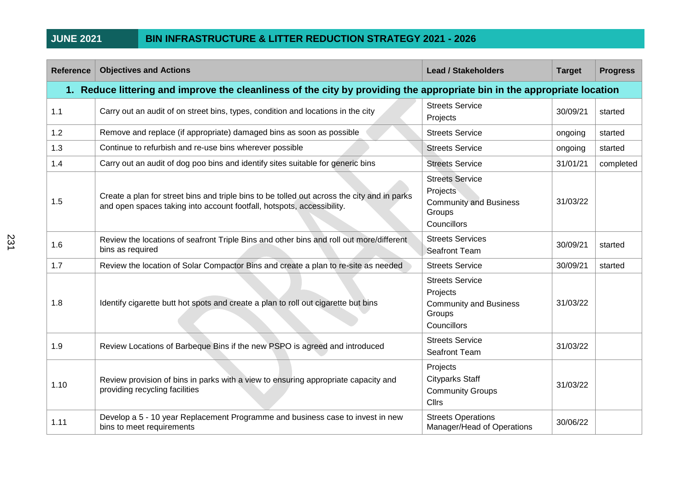| <b>Reference</b> | <b>Objectives and Actions</b>                                                                                                                                         | <b>Lead / Stakeholders</b>                                                                   | <b>Target</b> | <b>Progress</b> |
|------------------|-----------------------------------------------------------------------------------------------------------------------------------------------------------------------|----------------------------------------------------------------------------------------------|---------------|-----------------|
|                  | 1. Reduce littering and improve the cleanliness of the city by providing the appropriate bin in the appropriate location                                              |                                                                                              |               |                 |
| 1.1              | Carry out an audit of on street bins, types, condition and locations in the city                                                                                      | <b>Streets Service</b><br>Projects                                                           | 30/09/21      | started         |
| 1.2              | Remove and replace (if appropriate) damaged bins as soon as possible                                                                                                  | <b>Streets Service</b>                                                                       | ongoing       | started         |
| 1.3              | Continue to refurbish and re-use bins wherever possible                                                                                                               | <b>Streets Service</b>                                                                       | ongoing       | started         |
| 1.4              | Carry out an audit of dog poo bins and identify sites suitable for generic bins                                                                                       | <b>Streets Service</b>                                                                       | 31/01/21      | completed       |
| 1.5              | Create a plan for street bins and triple bins to be tolled out across the city and in parks<br>and open spaces taking into account footfall, hotspots, accessibility. | <b>Streets Service</b><br>Projects<br><b>Community and Business</b><br>Groups<br>Councillors | 31/03/22      |                 |
| 1.6              | Review the locations of seafront Triple Bins and other bins and roll out more/different<br>bins as required                                                           | <b>Streets Services</b><br>Seafront Team                                                     | 30/09/21      | started         |
| 1.7              | Review the location of Solar Compactor Bins and create a plan to re-site as needed                                                                                    | <b>Streets Service</b>                                                                       | 30/09/21      | started         |
| 1.8              | Identify cigarette butt hot spots and create a plan to roll out cigarette but bins                                                                                    | <b>Streets Service</b><br>Projects<br><b>Community and Business</b><br>Groups<br>Councillors | 31/03/22      |                 |
| 1.9              | Review Locations of Barbeque Bins if the new PSPO is agreed and introduced                                                                                            | <b>Streets Service</b><br>Seafront Team                                                      | 31/03/22      |                 |
| 1.10             | Review provision of bins in parks with a view to ensuring appropriate capacity and<br>providing recycling facilities                                                  | Projects<br><b>Cityparks Staff</b><br><b>Community Groups</b><br><b>Cllrs</b>                | 31/03/22      |                 |
| 1.11             | Develop a 5 - 10 year Replacement Programme and business case to invest in new<br>bins to meet requirements                                                           | <b>Streets Operations</b><br>Manager/Head of Operations                                      | 30/06/22      |                 |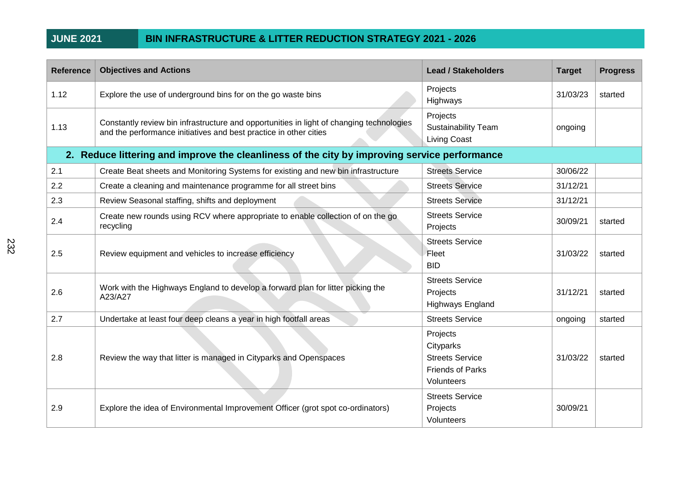| <b>Reference</b> | <b>Objectives and Actions</b>                                                                                                                                 | <b>Lead / Stakeholders</b>                                                               | <b>Target</b> | <b>Progress</b> |
|------------------|---------------------------------------------------------------------------------------------------------------------------------------------------------------|------------------------------------------------------------------------------------------|---------------|-----------------|
| 1.12             | Explore the use of underground bins for on the go waste bins                                                                                                  | Projects<br>Highways                                                                     | 31/03/23      | started         |
| 1.13             | Constantly review bin infrastructure and opportunities in light of changing technologies<br>and the performance initiatives and best practice in other cities | Projects<br><b>Sustainability Team</b><br><b>Living Coast</b>                            | ongoing       |                 |
|                  | 2. Reduce littering and improve the cleanliness of the city by improving service performance                                                                  |                                                                                          |               |                 |
| 2.1              | Create Beat sheets and Monitoring Systems for existing and new bin infrastructure                                                                             | <b>Streets Service</b>                                                                   | 30/06/22      |                 |
| 2.2              | Create a cleaning and maintenance programme for all street bins                                                                                               | <b>Streets Service</b>                                                                   | 31/12/21      |                 |
| 2.3              | Review Seasonal staffing, shifts and deployment                                                                                                               | <b>Streets Service</b>                                                                   | 31/12/21      |                 |
| 2.4              | Create new rounds using RCV where appropriate to enable collection of on the go<br>recycling                                                                  | <b>Streets Service</b><br>Projects                                                       | 30/09/21      | started         |
| 2.5              | Review equipment and vehicles to increase efficiency                                                                                                          | <b>Streets Service</b><br>Fleet<br><b>BID</b>                                            | 31/03/22      | started         |
| 2.6              | Work with the Highways England to develop a forward plan for litter picking the<br>A23/A27                                                                    | <b>Streets Service</b><br>Projects<br><b>Highways England</b>                            | 31/12/21      | started         |
| 2.7              | Undertake at least four deep cleans a year in high footfall areas                                                                                             | <b>Streets Service</b>                                                                   | ongoing       | started         |
| 2.8              | Review the way that litter is managed in Cityparks and Openspaces                                                                                             | Projects<br>Cityparks<br><b>Streets Service</b><br><b>Friends of Parks</b><br>Volunteers | 31/03/22      | started         |
| 2.9              | Explore the idea of Environmental Improvement Officer (grot spot co-ordinators)                                                                               | <b>Streets Service</b><br>Projects<br>Volunteers                                         | 30/09/21      |                 |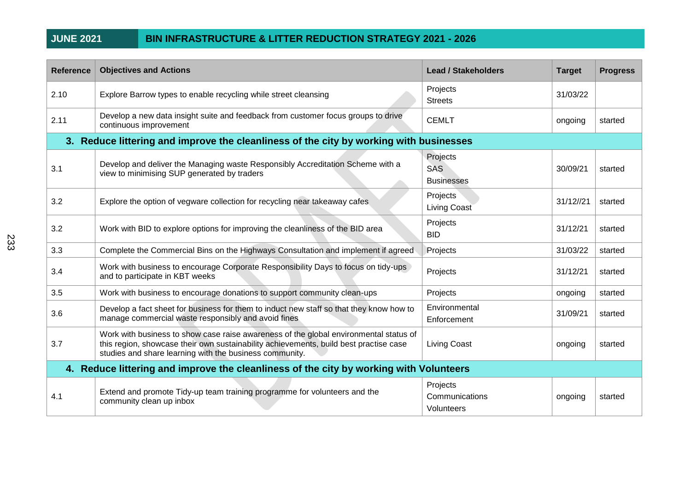| <b>Reference</b>                                                                       | <b>Objectives and Actions</b>                                                                                                                                                                                                             | <b>Lead / Stakeholders</b>                      | <b>Target</b> | <b>Progress</b> |
|----------------------------------------------------------------------------------------|-------------------------------------------------------------------------------------------------------------------------------------------------------------------------------------------------------------------------------------------|-------------------------------------------------|---------------|-----------------|
| 2.10                                                                                   | Explore Barrow types to enable recycling while street cleansing                                                                                                                                                                           | Projects<br><b>Streets</b>                      | 31/03/22      |                 |
| 2.11                                                                                   | Develop a new data insight suite and feedback from customer focus groups to drive<br>continuous improvement                                                                                                                               | <b>CEMLT</b>                                    | ongoing       | started         |
|                                                                                        | 3. Reduce littering and improve the cleanliness of the city by working with businesses                                                                                                                                                    |                                                 |               |                 |
| 3.1                                                                                    | Develop and deliver the Managing waste Responsibly Accreditation Scheme with a<br>view to minimising SUP generated by traders                                                                                                             | Projects<br><b>SAS</b><br><b>Businesses</b>     | 30/09/21      | started         |
| 3.2                                                                                    | Explore the option of vegware collection for recycling near takeaway cafes                                                                                                                                                                | Projects<br><b>Living Coast</b>                 | 31/12//21     | started         |
| 3.2                                                                                    | Work with BID to explore options for improving the cleanliness of the BID area                                                                                                                                                            | Projects<br><b>BID</b>                          | 31/12/21      | started         |
| 3.3                                                                                    | Complete the Commercial Bins on the Highways Consultation and implement if agreed                                                                                                                                                         | Projects                                        | 31/03/22      | started         |
| 3.4                                                                                    | Work with business to encourage Corporate Responsibility Days to focus on tidy-ups<br>and to participate in KBT weeks                                                                                                                     | Projects                                        | 31/12/21      | started         |
| 3.5                                                                                    | Work with business to encourage donations to support community clean-ups                                                                                                                                                                  | Projects                                        | ongoing       | started         |
| 3.6                                                                                    | Develop a fact sheet for business for them to induct new staff so that they know how to<br>manage commercial waste responsibly and avoid fines                                                                                            | Environmental<br>Enforcement                    | 31/09/21      | started         |
| 3.7                                                                                    | Work with business to show case raise awareness of the global environmental status of<br>this region, showcase their own sustainability achievements, build best practise case<br>studies and share learning with the business community. | <b>Living Coast</b>                             | ongoing       | started         |
| 4. Reduce littering and improve the cleanliness of the city by working with Volunteers |                                                                                                                                                                                                                                           |                                                 |               |                 |
| 4.1                                                                                    | Extend and promote Tidy-up team training programme for volunteers and the<br>community clean up inbox                                                                                                                                     | Projects<br>Communications<br><b>Volunteers</b> | ongoing       | started         |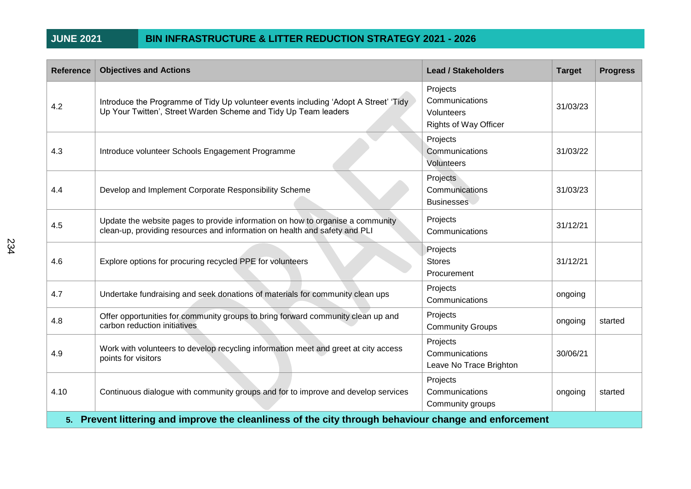| <b>Reference</b>                                                                                      | <b>Objectives and Actions</b>                                                                                                                                | <b>Lead / Stakeholders</b>                                               | <b>Target</b> | <b>Progress</b> |
|-------------------------------------------------------------------------------------------------------|--------------------------------------------------------------------------------------------------------------------------------------------------------------|--------------------------------------------------------------------------|---------------|-----------------|
| 4.2                                                                                                   | Introduce the Programme of Tidy Up volunteer events including 'Adopt A Street' 'Tidy<br>Up Your Twitten', Street Warden Scheme and Tidy Up Team leaders      | Projects<br>Communications<br>Volunteers<br><b>Rights of Way Officer</b> | 31/03/23      |                 |
| 4.3                                                                                                   | Introduce volunteer Schools Engagement Programme                                                                                                             | Projects<br>Communications<br>Volunteers                                 | 31/03/22      |                 |
| 4.4                                                                                                   | Develop and Implement Corporate Responsibility Scheme                                                                                                        | Projects<br>Communications<br><b>Businesses</b>                          | 31/03/23      |                 |
| 4.5                                                                                                   | Update the website pages to provide information on how to organise a community<br>clean-up, providing resources and information on health and safety and PLI | Projects<br>Communications                                               | 31/12/21      |                 |
| 4.6                                                                                                   | Explore options for procuring recycled PPE for volunteers                                                                                                    | Projects<br><b>Stores</b><br>Procurement                                 | 31/12/21      |                 |
| 4.7                                                                                                   | Undertake fundraising and seek donations of materials for community clean ups                                                                                | Projects<br>Communications                                               | ongoing       |                 |
| 4.8                                                                                                   | Offer opportunities for community groups to bring forward community clean up and<br>carbon reduction initiatives                                             | Projects<br><b>Community Groups</b>                                      | ongoing       | started         |
| 4.9                                                                                                   | Work with volunteers to develop recycling information meet and greet at city access<br>points for visitors                                                   | Projects<br>Communications<br>Leave No Trace Brighton                    | 30/06/21      |                 |
| 4.10                                                                                                  | Continuous dialogue with community groups and for to improve and develop services                                                                            | Projects<br>Communications<br>Community groups                           | ongoing       | started         |
| 5. Prevent littering and improve the cleanliness of the city through behaviour change and enforcement |                                                                                                                                                              |                                                                          |               |                 |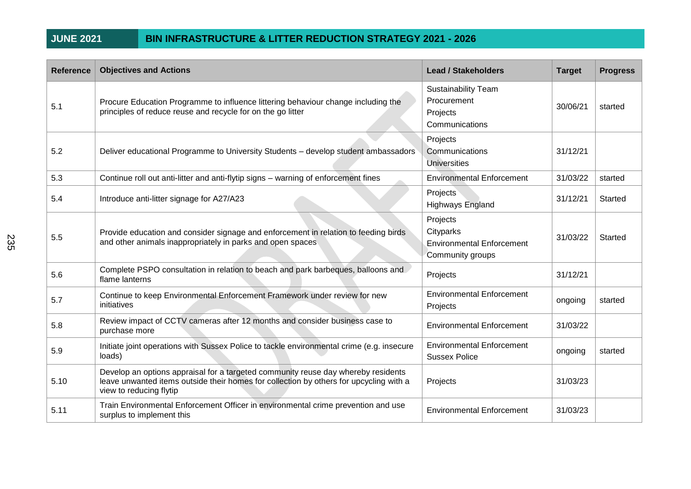| <b>Reference</b> | <b>Objectives and Actions</b>                                                                                                                                                                          | <b>Lead / Stakeholders</b>                                                    | <b>Target</b> | <b>Progress</b> |
|------------------|--------------------------------------------------------------------------------------------------------------------------------------------------------------------------------------------------------|-------------------------------------------------------------------------------|---------------|-----------------|
| 5.1              | Procure Education Programme to influence littering behaviour change including the<br>principles of reduce reuse and recycle for on the go litter                                                       | <b>Sustainability Team</b><br>Procurement<br>Projects<br>Communications       | 30/06/21      | started         |
| 5.2              | Deliver educational Programme to University Students - develop student ambassadors                                                                                                                     | Projects<br>Communications<br><b>Universities</b>                             | 31/12/21      |                 |
| 5.3              | Continue roll out anti-litter and anti-flytip signs - warning of enforcement fines                                                                                                                     | <b>Environmental Enforcement</b>                                              | 31/03/22      | started         |
| 5.4              | Introduce anti-litter signage for A27/A23                                                                                                                                                              | Projects<br><b>Highways England</b>                                           | 31/12/21      | Started         |
| 5.5              | Provide education and consider signage and enforcement in relation to feeding birds<br>and other animals inappropriately in parks and open spaces                                                      | Projects<br>Cityparks<br><b>Environmental Enforcement</b><br>Community groups | 31/03/22      | Started         |
| 5.6              | Complete PSPO consultation in relation to beach and park barbeques, balloons and<br>flame lanterns                                                                                                     | Projects                                                                      | 31/12/21      |                 |
| 5.7              | Continue to keep Environmental Enforcement Framework under review for new<br>initiatives                                                                                                               | <b>Environmental Enforcement</b><br>Projects                                  | ongoing       | started         |
| 5.8              | Review impact of CCTV cameras after 12 months and consider business case to<br>purchase more                                                                                                           | <b>Environmental Enforcement</b>                                              | 31/03/22      |                 |
| 5.9              | Initiate joint operations with Sussex Police to tackle environmental crime (e.g. insecure<br>loads)                                                                                                    | <b>Environmental Enforcement</b><br><b>Sussex Police</b>                      | ongoing       | started         |
| 5.10             | Develop an options appraisal for a targeted community reuse day whereby residents<br>leave unwanted items outside their homes for collection by others for upcycling with a<br>view to reducing flytip | Projects                                                                      | 31/03/23      |                 |
| 5.11             | Train Environmental Enforcement Officer in environmental crime prevention and use<br>surplus to implement this                                                                                         | <b>Environmental Enforcement</b>                                              | 31/03/23      |                 |